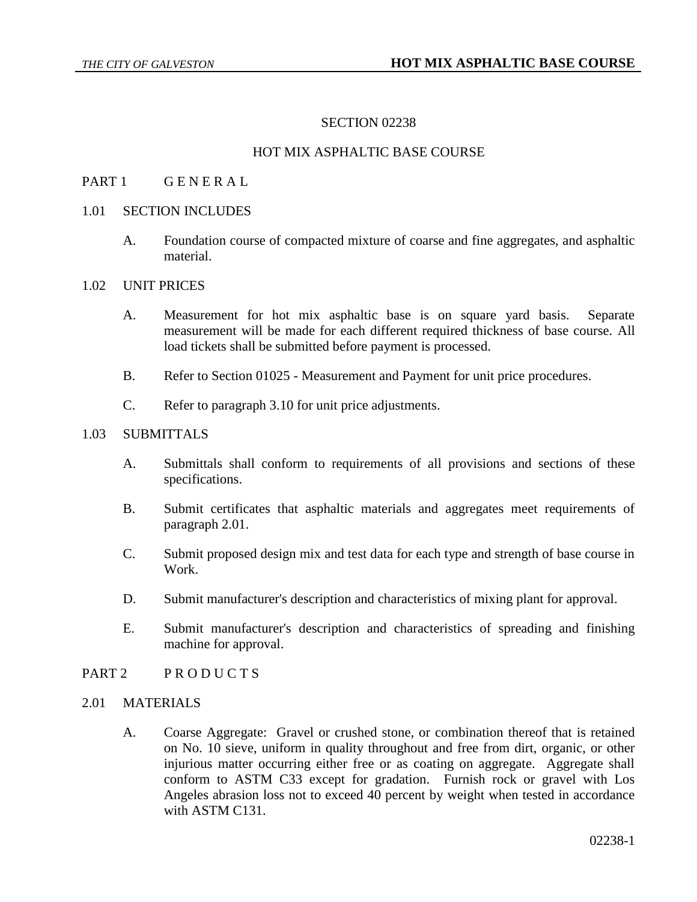### SECTION 02238

## HOT MIX ASPHALTIC BASE COURSE

# PART 1 GENERAL

#### 1.01 SECTION INCLUDES

A. Foundation course of compacted mixture of coarse and fine aggregates, and asphaltic material.

# 1.02 UNIT PRICES

- A. Measurement for hot mix asphaltic base is on square yard basis. Separate measurement will be made for each different required thickness of base course. All load tickets shall be submitted before payment is processed.
- B. Refer to Section 01025 Measurement and Payment for unit price procedures.
- C. Refer to paragraph 3.10 for unit price adjustments.

### 1.03 SUBMITTALS

- A. Submittals shall conform to requirements of all provisions and sections of these specifications.
- B. Submit certificates that asphaltic materials and aggregates meet requirements of paragraph 2.01.
- C. Submit proposed design mix and test data for each type and strength of base course in Work.
- D. Submit manufacturer's description and characteristics of mixing plant for approval.
- E. Submit manufacturer's description and characteristics of spreading and finishing machine for approval.
- PART 2 PRODUCTS

#### 2.01 MATERIALS

A. Coarse Aggregate: Gravel or crushed stone, or combination thereof that is retained on No. 10 sieve, uniform in quality throughout and free from dirt, organic, or other injurious matter occurring either free or as coating on aggregate. Aggregate shall conform to ASTM C33 except for gradation. Furnish rock or gravel with Los Angeles abrasion loss not to exceed 40 percent by weight when tested in accordance with ASTM C131.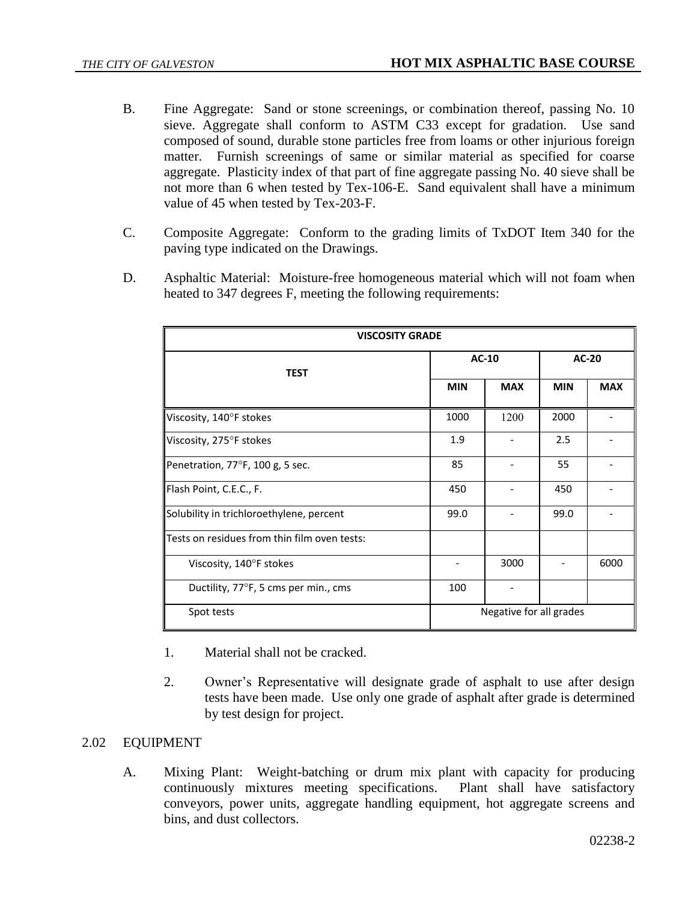- B. Fine Aggregate: Sand or stone screenings, or combination thereof, passing No. 10 sieve. Aggregate shall conform to ASTM C33 except for gradation. Use sand composed of sound, durable stone particles free from loams or other injurious foreign matter. Furnish screenings of same or similar material as specified for coarse aggregate. Plasticity index of that part of fine aggregate passing No. 40 sieve shall be not more than 6 when tested by Tex-106-E. Sand equivalent shall have a minimum value of 45 when tested by Tex-203-F.
- C. Composite Aggregate: Conform to the grading limits of TxDOT Item 340 for the paving type indicated on the Drawings.
- D. Asphaltic Material: Moisture-free homogeneous material which will not foam when heated to 347 degrees F, meeting the following requirements:

| <b>VISCOSITY GRADE</b>                       |                         |            |            |            |  |
|----------------------------------------------|-------------------------|------------|------------|------------|--|
| <b>TEST</b>                                  | $AC-10$                 |            | AC-20      |            |  |
|                                              | <b>MIN</b>              | <b>MAX</b> | <b>MIN</b> | <b>MAX</b> |  |
| Viscosity, 140°F stokes                      | 1000                    | 1200       | 2000       |            |  |
| Viscosity, 275°F stokes                      | 1.9                     |            | 2.5        |            |  |
| Penetration, 77°F, 100 g, 5 sec.             | 85                      |            | 55         |            |  |
| Flash Point, C.E.C., F.                      | 450                     |            | 450        |            |  |
| Solubility in trichloroethylene, percent     | 99.0                    |            | 99.0       |            |  |
| Tests on residues from thin film oven tests: |                         |            |            |            |  |
| Viscosity, 140°F stokes                      |                         | 3000       |            | 6000       |  |
| Ductility, 77°F, 5 cms per min., cms         | 100                     |            |            |            |  |
| Spot tests                                   | Negative for all grades |            |            |            |  |

- 1. Material shall not be cracked.
- 2. Owner's Representative will designate grade of asphalt to use after design tests have been made. Use only one grade of asphalt after grade is determined by test design for project.

#### 2.02 EQUIPMENT

A. Mixing Plant: Weight-batching or drum mix plant with capacity for producing continuously mixtures meeting specifications. Plant shall have satisfactory conveyors, power units, aggregate handling equipment, hot aggregate screens and bins, and dust collectors.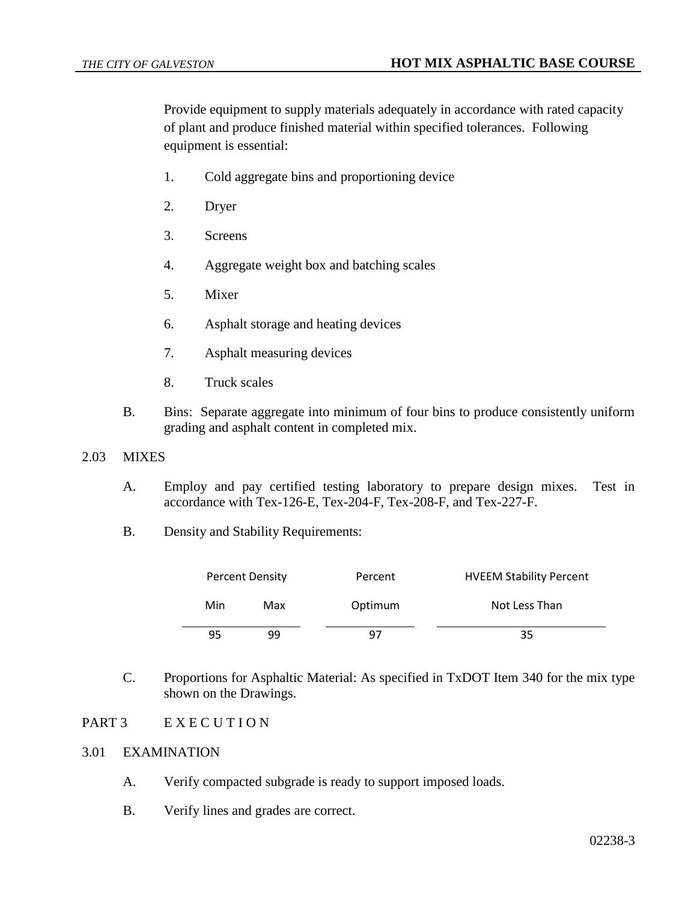Provide equipment to supply materials adequately in accordance with rated capacity of plant and produce finished material within specified tolerances. Following equipment is essential:

- 1. Cold aggregate bins and proportioning device
- 2. Dryer
- 3. Screens
- 4. Aggregate weight box and batching scales
- 5. Mixer
- 6. Asphalt storage and heating devices
- 7. Asphalt measuring devices
- 8. Truck scales
- B. Bins: Separate aggregate into minimum of four bins to produce consistently uniform grading and asphalt content in completed mix.

# 2.03 MIXES

- A. Employ and pay certified testing laboratory to prepare design mixes. Test in accordance with Tex-126-E, Tex-204-F, Tex-208-F, and Tex-227-F.
- B. Density and Stability Requirements:

|     | <b>Percent Density</b><br>Percent |         | <b>HVEEM Stability Percent</b> |  |  |
|-----|-----------------------------------|---------|--------------------------------|--|--|
| Min | Max                               | Optimum | Not Less Than                  |  |  |
| 95  | ٩q                                | 97      | 35                             |  |  |

C. Proportions for Asphaltic Material: As specified in TxDOT Item 340 for the mix type shown on the Drawings.

# PART 3 E X E C U T I O N

### 3.01 EXAMINATION

- A. Verify compacted subgrade is ready to support imposed loads.
- B. Verify lines and grades are correct.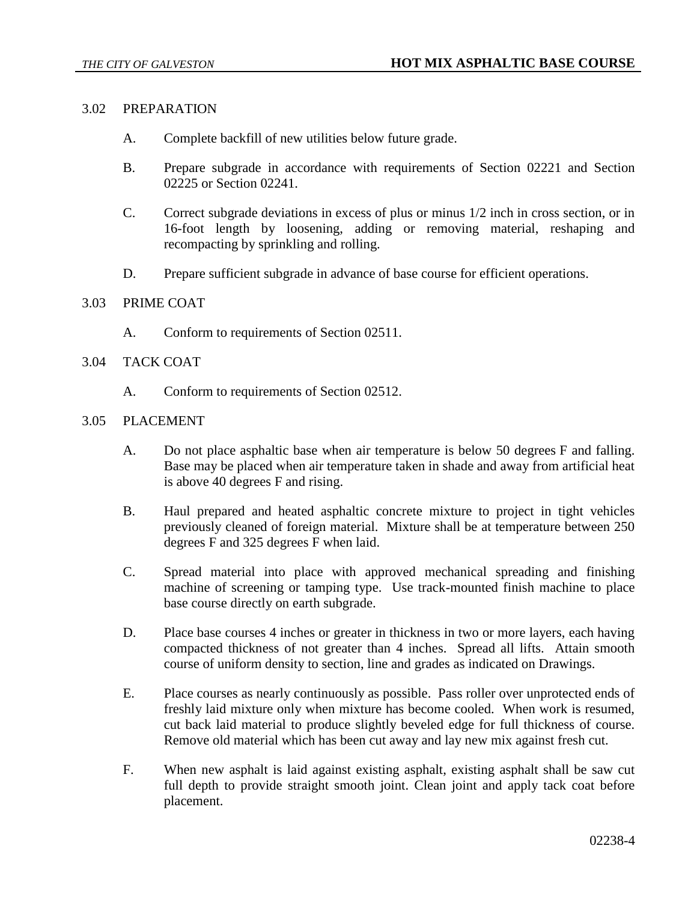### 3.02 PREPARATION

- A. Complete backfill of new utilities below future grade.
- B. Prepare subgrade in accordance with requirements of Section 02221 and Section 02225 or Section 02241.
- C. Correct subgrade deviations in excess of plus or minus 1/2 inch in cross section, or in 16-foot length by loosening, adding or removing material, reshaping and recompacting by sprinkling and rolling.
- D. Prepare sufficient subgrade in advance of base course for efficient operations.

# 3.03 PRIME COAT

A. Conform to requirements of Section 02511.

### 3.04 TACK COAT

A. Conform to requirements of Section 02512.

# 3.05 PLACEMENT

- A. Do not place asphaltic base when air temperature is below 50 degrees F and falling. Base may be placed when air temperature taken in shade and away from artificial heat is above 40 degrees F and rising.
- B. Haul prepared and heated asphaltic concrete mixture to project in tight vehicles previously cleaned of foreign material. Mixture shall be at temperature between 250 degrees F and 325 degrees F when laid.
- C. Spread material into place with approved mechanical spreading and finishing machine of screening or tamping type. Use track-mounted finish machine to place base course directly on earth subgrade.
- D. Place base courses 4 inches or greater in thickness in two or more layers, each having compacted thickness of not greater than 4 inches. Spread all lifts. Attain smooth course of uniform density to section, line and grades as indicated on Drawings.
- E. Place courses as nearly continuously as possible. Pass roller over unprotected ends of freshly laid mixture only when mixture has become cooled. When work is resumed, cut back laid material to produce slightly beveled edge for full thickness of course. Remove old material which has been cut away and lay new mix against fresh cut.
- F. When new asphalt is laid against existing asphalt, existing asphalt shall be saw cut full depth to provide straight smooth joint. Clean joint and apply tack coat before placement.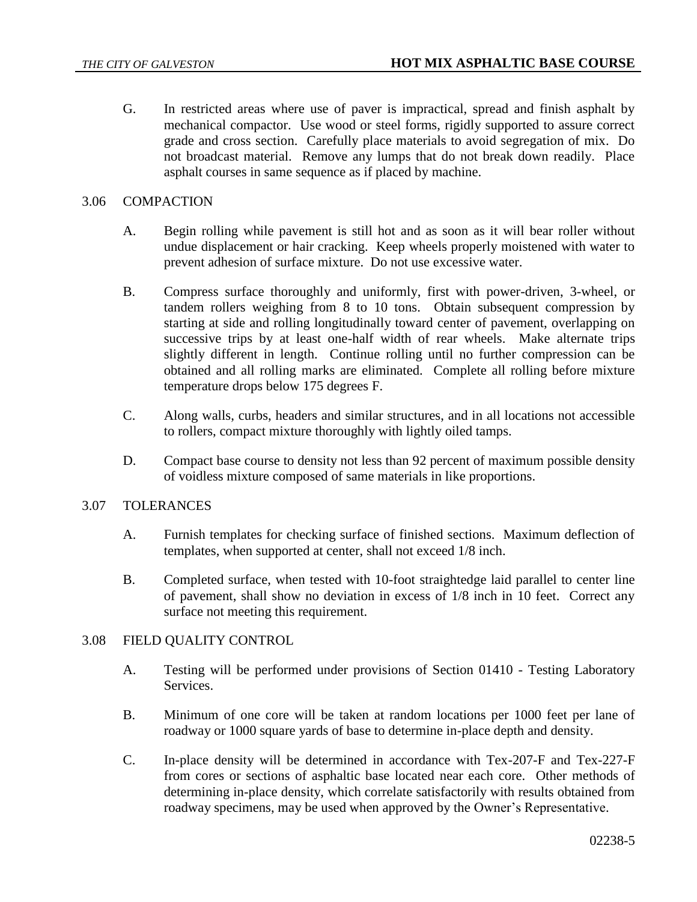G. In restricted areas where use of paver is impractical, spread and finish asphalt by mechanical compactor. Use wood or steel forms, rigidly supported to assure correct grade and cross section. Carefully place materials to avoid segregation of mix. Do not broadcast material. Remove any lumps that do not break down readily. Place asphalt courses in same sequence as if placed by machine.

# 3.06 COMPACTION

- A. Begin rolling while pavement is still hot and as soon as it will bear roller without undue displacement or hair cracking. Keep wheels properly moistened with water to prevent adhesion of surface mixture. Do not use excessive water.
- B. Compress surface thoroughly and uniformly, first with power-driven, 3-wheel, or tandem rollers weighing from 8 to 10 tons. Obtain subsequent compression by starting at side and rolling longitudinally toward center of pavement, overlapping on successive trips by at least one-half width of rear wheels. Make alternate trips slightly different in length. Continue rolling until no further compression can be obtained and all rolling marks are eliminated. Complete all rolling before mixture temperature drops below 175 degrees F.
- C. Along walls, curbs, headers and similar structures, and in all locations not accessible to rollers, compact mixture thoroughly with lightly oiled tamps.
- D. Compact base course to density not less than 92 percent of maximum possible density of voidless mixture composed of same materials in like proportions.

#### 3.07 TOLERANCES

- A. Furnish templates for checking surface of finished sections. Maximum deflection of templates, when supported at center, shall not exceed 1/8 inch.
- B. Completed surface, when tested with 10-foot straightedge laid parallel to center line of pavement, shall show no deviation in excess of 1/8 inch in 10 feet. Correct any surface not meeting this requirement.

#### 3.08 FIELD QUALITY CONTROL

- A. Testing will be performed under provisions of Section 01410 Testing Laboratory Services.
- B. Minimum of one core will be taken at random locations per 1000 feet per lane of roadway or 1000 square yards of base to determine in-place depth and density.
- C. In-place density will be determined in accordance with Tex-207-F and Tex-227-F from cores or sections of asphaltic base located near each core. Other methods of determining in-place density, which correlate satisfactorily with results obtained from roadway specimens, may be used when approved by the Owner's Representative.